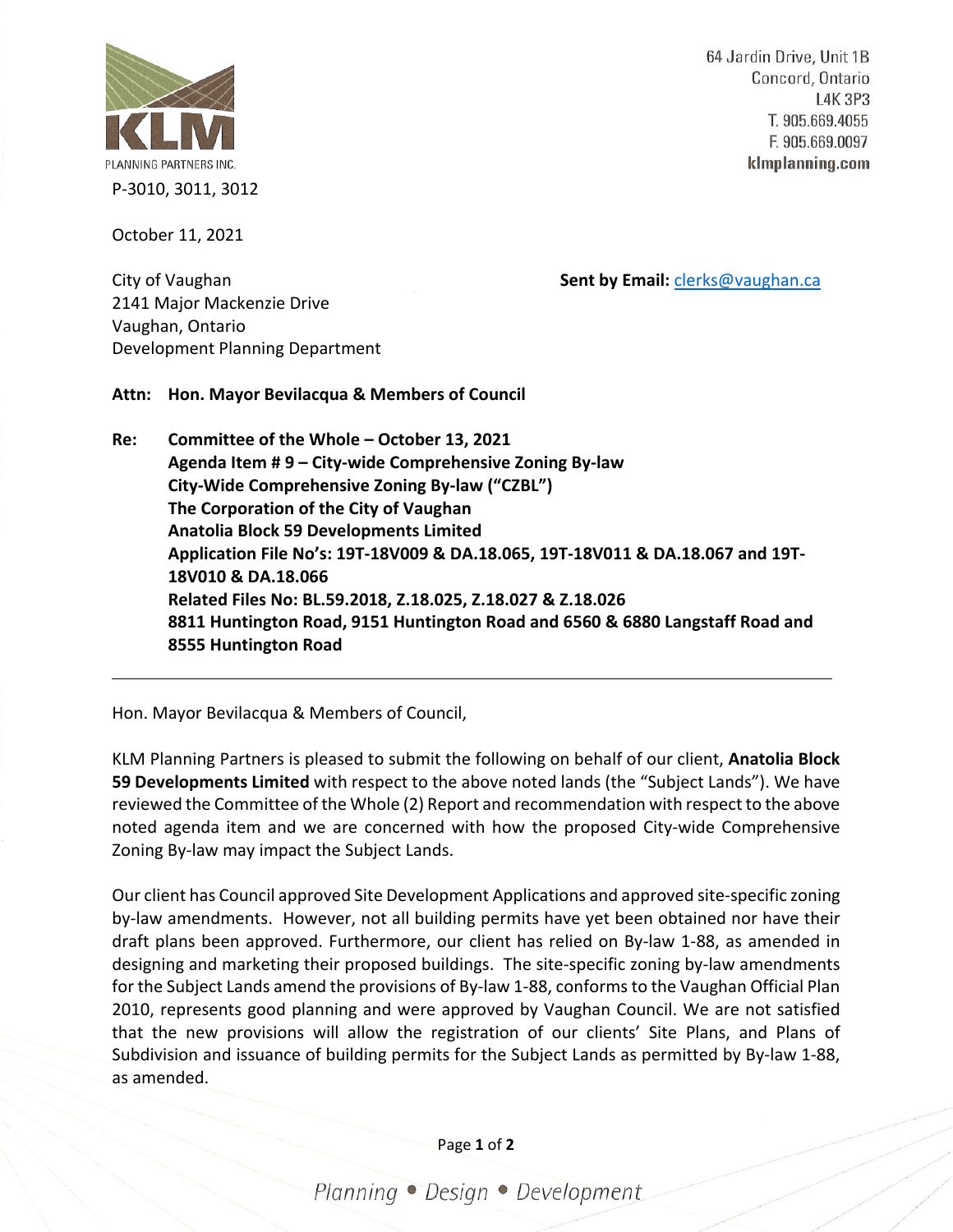

64 Jardin Drive, Unit 1B Concord, Ontario **L4K 3P3** T. 905.669.4055 F. 905.669.0097 klmplanning.com

October 11, 2021

City of Vaughan **Sent by Email:** [clerks@vaughan.ca](mailto:clerks@vaughan.ca)

2141 Major Mackenzie Drive Vaughan, Ontario Development Planning Department

**Attn: Hon. Mayor Bevilacqua & Members of Council**

**Re: Committee of the Whole – October 13, 2021 Agenda Item # 9 – City-wide Comprehensive Zoning By-law City-Wide Comprehensive Zoning By-law ("CZBL") The Corporation of the City of Vaughan Anatolia Block 59 Developments Limited Application File No's: 19T-18V009 & DA.18.065, 19T-18V011 & DA.18.067 and 19T-18V010 & DA.18.066 Related Files No: BL.59.2018, Z.18.025, Z.18.027 & Z.18.026 8811 Huntington Road, 9151 Huntington Road and 6560 & 6880 Langstaff Road and 8555 Huntington Road**

Hon. Mayor Bevilacqua & Members of Council,

KLM Planning Partners is pleased to submit the following on behalf of our client, **Anatolia Block 59 Developments Limited** with respect to the above noted lands (the "Subject Lands"). We have reviewed the Committee of the Whole (2) Report and recommendation with respect to the above noted agenda item and we are concerned with how the proposed City-wide Comprehensive Zoning By-law may impact the Subject Lands.

Our client has Council approved Site Development Applications and approved site-specific zoning by-law amendments. However, not all building permits have yet been obtained nor have their draft plans been approved. Furthermore, our client has relied on By-law 1-88, as amended in designing and marketing their proposed buildings. The site-specific zoning by-law amendments for the Subject Lands amend the provisions of By-law 1-88, conforms to the Vaughan Official Plan 2010, represents good planning and were approved by Vaughan Council. We are not satisfied that the new provisions will allow the registration of our clients' Site Plans, and Plans of Subdivision and issuance of building permits for the Subject Lands as permitted by By-law 1-88, as amended.

Page **1** of **2**

Planning · Design · Development